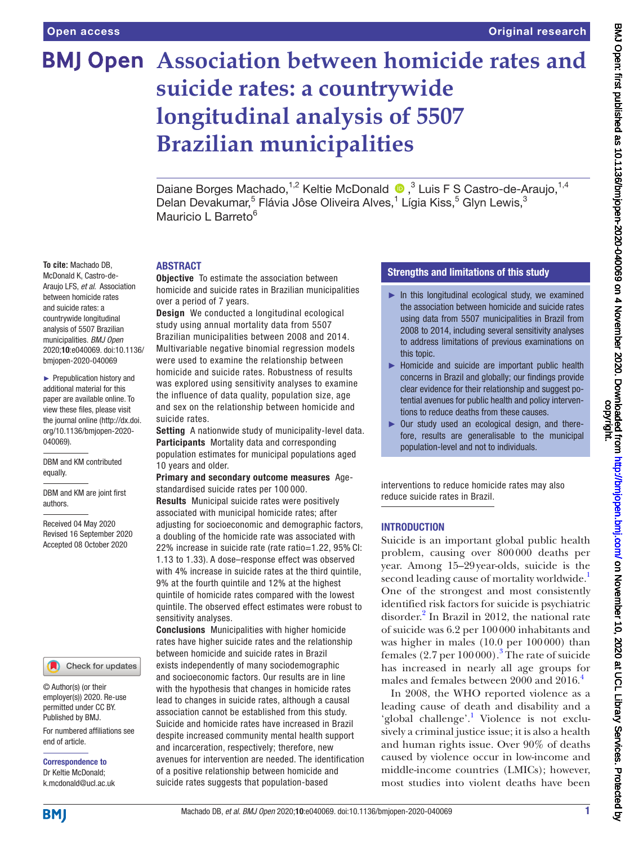# **BMJ Open Association between homicide rates and suicide rates: a countrywide longitudinal analysis of 5507 Brazilian municipalities**

Daiane Borges Machado,<sup>1,2</sup> Keltie McDonald <sup>1,3</sup> Luis F S Castro-de-Araujo,<sup>1,4</sup> Delan Devakumar,<sup>5</sup> Flávia Jôse Oliveira Alves,<sup>1</sup> Lígia Kiss,<sup>5</sup> Glyn Lewis,<sup>3</sup> Mauricio L Barreto<sup>6</sup>

# **ARSTRACT**

**Objective** To estimate the association between homicide and suicide rates in Brazilian municipalities over a period of 7 years.

Design We conducted a longitudinal ecological study using annual mortality data from 5507 Brazilian municipalities between 2008 and 2014. Multivariable negative binomial regression models were used to examine the relationship between homicide and suicide rates. Robustness of results was explored using sensitivity analyses to examine the influence of data quality, population size, age and sex on the relationship between homicide and suicide rates.

Setting A nationwide study of municipality-level data. Participants Mortality data and corresponding population estimates for municipal populations aged 10 years and older.

Primary and secondary outcome measures Agestandardised suicide rates per 100 000. Results Municipal suicide rates were positively associated with municipal homicide rates; after adjusting for socioeconomic and demographic factors, a doubling of the homicide rate was associated with 22% increase in suicide rate (rate ratio=1.22, 95% CI: 1.13 to 1.33). A dose–response effect was observed with 4% increase in suicide rates at the third quintile, 9% at the fourth quintile and 12% at the highest quintile of homicide rates compared with the lowest quintile. The observed effect estimates were robust to sensitivity analyses.

Conclusions Municipalities with higher homicide rates have higher suicide rates and the relationship between homicide and suicide rates in Brazil exists independently of many sociodemographic and socioeconomic factors. Our results are in line with the hypothesis that changes in homicide rates lead to changes in suicide rates, although a causal association cannot be established from this study. Suicide and homicide rates have increased in Brazil despite increased community mental health support and incarceration, respectively; therefore, new avenues for intervention are needed. The identification of a positive relationship between homicide and suicide rates suggests that population-based

# Strengths and limitations of this study

- $\blacktriangleright$  In this longitudinal ecological study, we examined the association between homicide and suicide rates using data from 5507 municipalities in Brazil from 2008 to 2014, including several sensitivity analyses to address limitations of previous examinations on this topic.
- ► Homicide and suicide are important public health concerns in Brazil and globally; our findings provide clear evidence for their relationship and suggest potential avenues for public health and policy interventions to reduce deaths from these causes.
- ► Our study used an ecological design, and therefore, results are generalisable to the municipal population-level and not to individuals.

interventions to reduce homicide rates may also reduce suicide rates in Brazil.

### **INTRODUCTION**

Suicide is an important global public health problem, causing over 800000 deaths per year. Among 15–29year-olds, suicide is the second leading cause of mortality worldwide.<sup>1</sup> One of the strongest and most consistently identified risk factors for suicide is psychiatric disorder.<sup>[2](#page-7-1)</sup> In Brazil in 2012, the national rate of suicide was 6.2 per 100000 inhabitants and was higher in males (10.0 per 100000) than females  $(2.7 \text{ per } 100\,000)$ .<sup>3</sup> The rate of suicide has increased in nearly all age groups for males and females between 2000 and 2016.<sup>4</sup>

In 2008, the WHO reported violence as a leading cause of death and disability and a 'global challenge'.<sup>[1](#page-7-0)</sup> Violence is not exclusively a criminal justice issue; it is also a health and human rights issue. Over 90% of deaths caused by violence occur in low-income and middle-income countries (LMICs); however, most studies into violent deaths have been

between homicide rates and suicide rates: a countrywide longitudinal analysis of 5507 Brazilian municipalities. *BMJ Open* 2020;10:e040069. doi:10.1136/ bmjopen-2020-040069 ► Prepublication history and

**To cite:** Machado DB, McDonald K, Castro-de-Araujo LFS, *et al*. Association

additional material for this paper are available online. To view these files, please visit the journal online (http://dx.doi. org/10.1136/bmjopen-2020- 040069).

DBM and KM contributed equally.

DBM and KM are joint first authors.

Received 04 May 2020 Revised 16 September 2020 Accepted 08 October 2020

#### Check for updates

© Author(s) (or their employer(s)) 2020. Re-use permitted under CC BY. Published by BMJ.

For numbered affiliations see end of article.

Correspondence to Dr Keltie McDonald; k.mcdonald@ucl.ac.uk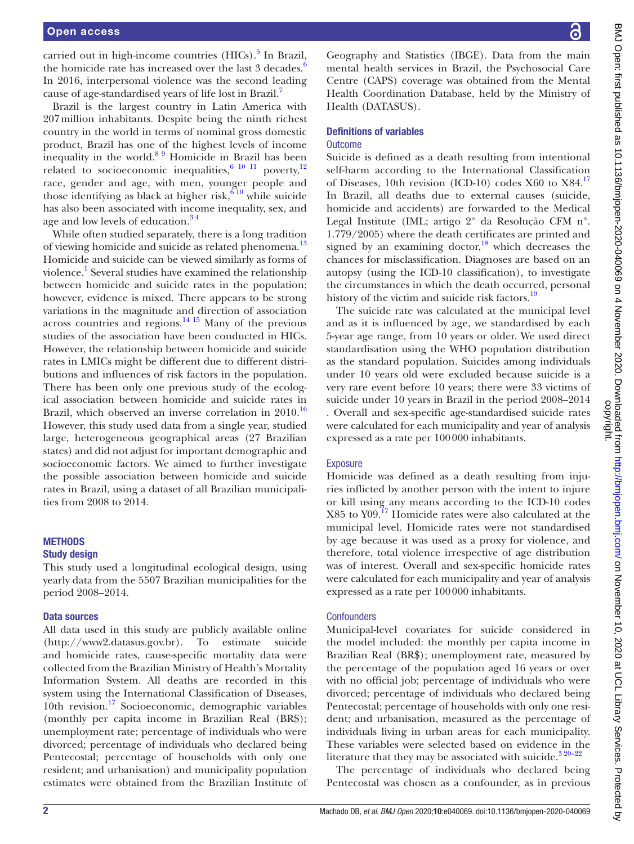carried out in high-income countries (HICs).<sup>[5](#page-7-4)</sup> In Brazil, the homicide rate has increased over the last  $3$  decades.<sup>[6](#page-7-5)</sup> In 2016, interpersonal violence was the second leading cause of age-standardised years of life lost in Brazil[.7](#page-7-6)

Brazil is the largest country in Latin America with 207million inhabitants. Despite being the ninth richest country in the world in terms of nominal gross domestic product, Brazil has one of the highest levels of income inequality in the world. $89$  Homicide in Brazil has been related to socioeconomic inequalities,  $6^{6}$  10 11 poverty,  $12$ race, gender and age, with men, younger people and those identifying as black at higher risk, $\frac{6}{10}$  while suicide has also been associated with income inequality, sex, and age and low levels of education.<sup>34</sup>

While often studied separately, there is a long tradition of viewing homicide and suicide as related phenomena.<sup>13</sup> Homicide and suicide can be viewed similarly as forms of violence.<sup>[1](#page-7-0)</sup> Several studies have examined the relationship between homicide and suicide rates in the population; however, evidence is mixed. There appears to be strong variations in the magnitude and direction of association across countries and regions. $14 \frac{15}{15}$  Many of the previous studies of the association have been conducted in HICs. However, the relationship between homicide and suicide rates in LMICs might be different due to different distributions and influences of risk factors in the population. There has been only one previous study of the ecological association between homicide and suicide rates in Brazil, which observed an inverse correlation in 2010.<sup>[16](#page-7-11)</sup> However, this study used data from a single year, studied large, heterogeneous geographical areas (27 Brazilian states) and did not adjust for important demographic and socioeconomic factors. We aimed to further investigate the possible association between homicide and suicide rates in Brazil, using a dataset of all Brazilian municipalities from 2008 to 2014.

#### **METHODS**

#### Study design

This study used a longitudinal ecological design, using yearly data from the 5507 Brazilian municipalities for the period 2008–2014.

#### Data sources

All data used in this study are publicly available online ([http://www2.datasus.gov.br\)](http://www2.datasus.gov.br). To estimate suicide and homicide rates, cause-specific mortality data were collected from the Brazilian Ministry of Health's Mortality Information System. All deaths are recorded in this system using the International Classification of Diseases, 10th revision. $17$  Socioeconomic, demographic variables (monthly per capita income in Brazilian Real (BR\$); unemployment rate; percentage of individuals who were divorced; percentage of individuals who declared being Pentecostal; percentage of households with only one resident; and urbanisation) and municipality population estimates were obtained from the Brazilian Institute of

Geography and Statistics (IBGE). Data from the main mental health services in Brazil, the Psychosocial Care Centre (CAPS) coverage was obtained from the Mental Health Coordination Database, held by the Ministry of Health (DATASUS).

#### Definitions of variables Outcome

Suicide is defined as a death resulting from intentional self-harm according to the International Classification of Diseases, 10th revision (ICD-10) codes  $X60$  to  $X84$ .<sup>[17](#page-7-12)</sup> In Brazil, all deaths due to external causes (suicide, homicide and accidents) are forwarded to the Medical Legal Institute (IML; artigo 2° da Resolução CFM n°. 1.779/2005) where the death certificates are printed and signed by an examining doctor, $18$  which decreases the chances for misclassification. Diagnoses are based on an autopsy (using the ICD-10 classification), to investigate the circumstances in which the death occurred, personal history of the victim and suicide risk factors.<sup>19</sup>

The suicide rate was calculated at the municipal level and as it is influenced by age, we standardised by each 5-year age range, from 10 years or older. We used direct standardisation using the WHO population distribution as the standard population. Suicides among individuals under 10 years old were excluded because suicide is a very rare event before 10 years; there were 33 victims of suicide under 10 years in Brazil in the period 2008–2014 . Overall and sex-specific age-standardised suicide rates were calculated for each municipality and year of analysis expressed as a rate per 100000 inhabitants.

#### **Exposure**

Homicide was defined as a death resulting from injuries inflicted by another person with the intent to injure or kill using any means according to the ICD-10 codes  $X85$  to  $Y09$ .<sup>17</sup> Homicide rates were also calculated at the municipal level. Homicide rates were not standardised by age because it was used as a proxy for violence, and therefore, total violence irrespective of age distribution was of interest. Overall and sex-specific homicide rates were calculated for each municipality and year of analysis expressed as a rate per 100000 inhabitants.

#### **Confounders**

Municipal-level covariates for suicide considered in the model included: the monthly per capita income in Brazilian Real (BR\$); unemployment rate, measured by the percentage of the population aged 16 years or over with no official job; percentage of individuals who were divorced; percentage of individuals who declared being Pentecostal; percentage of households with only one resident; and urbanisation, measured as the percentage of individuals living in urban areas for each municipality. These variables were selected based on evidence in the literature that they may be associated with suicide. $320-22$ 

The percentage of individuals who declared being Pentecostal was chosen as a confounder, as in previous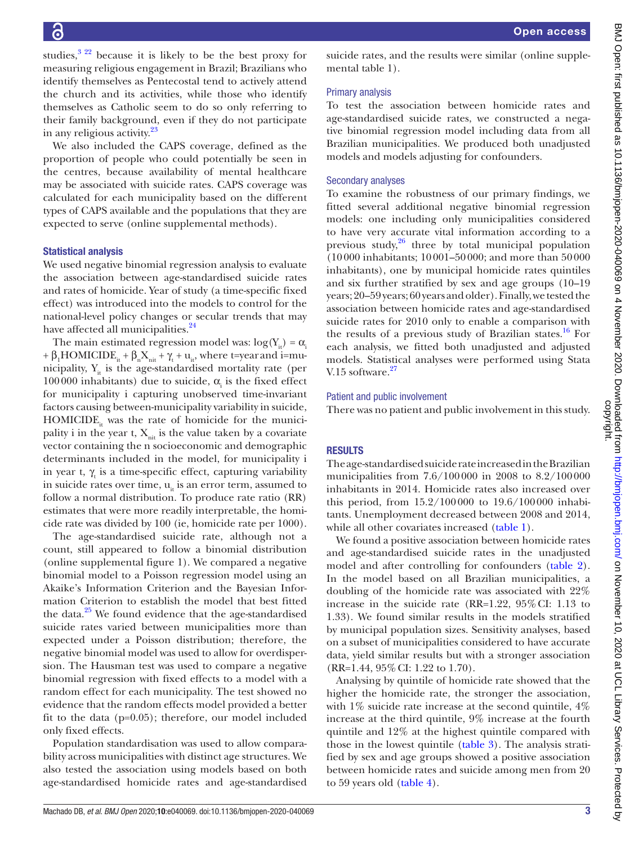studies,  $3^{22}$  because it is likely to be the best proxy for measuring religious engagement in Brazil; Brazilians who identify themselves as Pentecostal tend to actively attend the church and its activities, while those who identify themselves as Catholic seem to do so only referring to their family background, even if they do not participate in any religious activity.<sup>23</sup>

We also included the CAPS coverage, defined as the proportion of people who could potentially be seen in the centres, because availability of mental healthcare may be associated with suicide rates. CAPS coverage was calculated for each municipality based on the different types of CAPS available and the populations that they are expected to serve [\(online supplemental methods\)](https://dx.doi.org/10.1136/bmjopen-2020-040069).

# Statistical analysis

We used negative binomial regression analysis to evaluate the association between age-standardised suicide rates and rates of homicide. Year of study (a time-specific fixed effect) was introduced into the models to control for the national-level policy changes or secular trends that may have affected all municipalities.<sup>24</sup>

The main estimated regression model was:  $log(Y_i) = \alpha_i$ +  $\beta_1$ HOMICIDE<sub>it</sub> +  $\beta_n$ X<sub>nit</sub> +  $\gamma_t$  +  $u_{it}$ , where t=year and i=municipality,  $Y_{it}$  is the age-standardised mortality rate (per 100000 inhabitants) due to suicide,  $\alpha$ <sub>i</sub> is the fixed effect for municipality i capturing unobserved time-invariant factors causing between-municipality variability in suicide,  $HOMICIDE<sub>ir</sub>$  was the rate of homicide for the municipality i in the year t,  $X_{\text{nit}}$  is the value taken by a covariate vector containing the n socioeconomic and demographic determinants included in the model, for municipality i in year t,  $\gamma_t$  is a time-specific effect, capturing variability in suicide rates over time,  $u_i$  is an error term, assumed to follow a normal distribution. To produce rate ratio (RR) estimates that were more readily interpretable, the homicide rate was divided by 100 (ie, homicide rate per 1000).

The age-standardised suicide rate, although not a count, still appeared to follow a binomial distribution ([online supplemental figure 1\)](https://dx.doi.org/10.1136/bmjopen-2020-040069). We compared a negative binomial model to a Poisson regression model using an Akaike's Information Criterion and the Bayesian Information Criterion to establish the model that best fitted the data. $25$  We found evidence that the age-standardised suicide rates varied between municipalities more than expected under a Poisson distribution; therefore, the negative binomial model was used to allow for overdispersion. The Hausman test was used to compare a negative binomial regression with fixed effects to a model with a random effect for each municipality. The test showed no evidence that the random effects model provided a better fit to the data (p=0.05); therefore, our model included only fixed effects.

Population standardisation was used to allow comparability across municipalities with distinct age structures. We also tested the association using models based on both age-standardised homicide rates and age-standardised

suicide rates, and the results were similar ([online supple](https://dx.doi.org/10.1136/bmjopen-2020-040069)[mental table 1](https://dx.doi.org/10.1136/bmjopen-2020-040069)).

# Primary analysis

To test the association between homicide rates and age-standardised suicide rates, we constructed a negative binomial regression model including data from all Brazilian municipalities. We produced both unadjusted models and models adjusting for confounders.

# Secondary analyses

To examine the robustness of our primary findings, we fitted several additional negative binomial regression models: one including only municipalities considered to have very accurate vital information according to a previous study, $26$  three by total municipal population (10000 inhabitants; 10001–50000; and more than 50000 inhabitants), one by municipal homicide rates quintiles and six further stratified by sex and age groups (10–19 years; 20–59 years; 60 years and older). Finally, we tested the association between homicide rates and age-standardised suicide rates for 2010 only to enable a comparison with the results of a previous study of Brazilian states.<sup>16</sup> For each analysis, we fitted both unadjusted and adjusted models. Statistical analyses were performed using Stata V.15 software.<sup>27</sup>

# Patient and public involvement

There was no patient and public involvement in this study.

# **RESULTS**

The age-standardised suicide rate increased in the Brazilian municipalities from  $7.6/100000$  in 2008 to  $8.2/100000$ inhabitants in 2014. Homicide rates also increased over this period, from  $15.2/100000$  to  $19.6/100000$  inhabitants. Unemployment decreased between 2008 and 2014, while all other covariates increased ([table](#page-3-0) 1).

We found a positive association between homicide rates and age-standardised suicide rates in the unadjusted model and after controlling for confounders [\(table](#page-3-1) 2). In the model based on all Brazilian municipalities, a doubling of the homicide rate was associated with 22% increase in the suicide rate (RR=1.22, 95%CI: 1.13 to 1.33). We found similar results in the models stratified by municipal population sizes. Sensitivity analyses, based on a subset of municipalities considered to have accurate data, yield similar results but with a stronger association (RR=1.44, 95%CI: 1.22 to 1.70).

Analysing by quintile of homicide rate showed that the higher the homicide rate, the stronger the association, with 1% suicide rate increase at the second quintile, 4% increase at the third quintile, 9% increase at the fourth quintile and 12% at the highest quintile compared with those in the lowest quintile [\(table](#page-4-0) 3). The analysis stratified by sex and age groups showed a positive association between homicide rates and suicide among men from 20 to 59 years old ([table](#page-4-1) 4).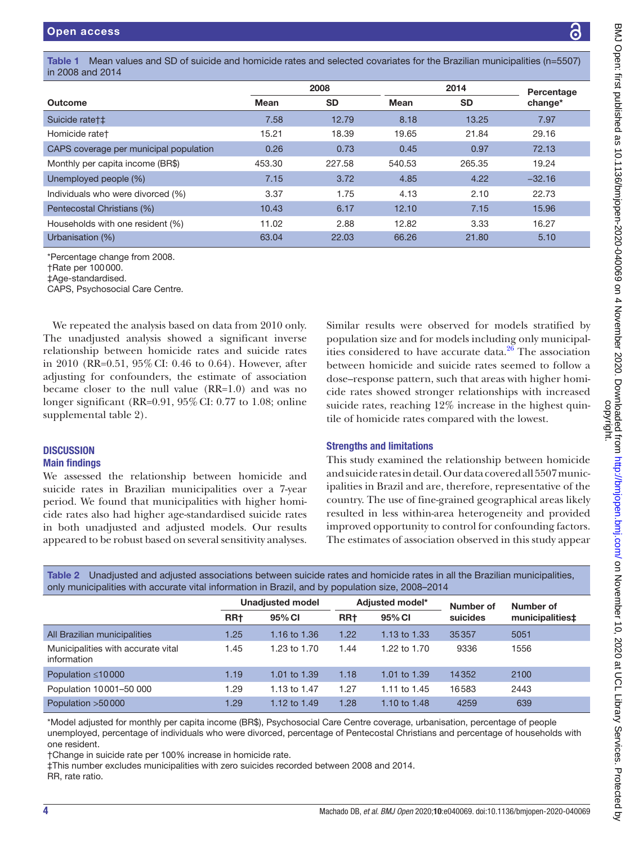<span id="page-3-0"></span>Table 1 Mean values and SD of suicide and homicide rates and selected covariates for the Brazilian municipalities (n=5507) in 2008 and 2014

|                                        | 2008   |           |             | 2014      | Percentage |
|----------------------------------------|--------|-----------|-------------|-----------|------------|
| Outcome                                | Mean   | <b>SD</b> | <b>Mean</b> | <b>SD</b> | change*    |
| Suicide ratet <sub>+</sub>             | 7.58   | 12.79     | 8.18        | 13.25     | 7.97       |
| Homicide rate+                         | 15.21  | 18.39     | 19.65       | 21.84     | 29.16      |
| CAPS coverage per municipal population | 0.26   | 0.73      | 0.45        | 0.97      | 72.13      |
| Monthly per capita income (BR\$)       | 453.30 | 227.58    | 540.53      | 265.35    | 19.24      |
| Unemployed people (%)                  | 7.15   | 3.72      | 4.85        | 4.22      | $-32.16$   |
| Individuals who were divorced (%)      | 3.37   | 1.75      | 4.13        | 2.10      | 22.73      |
| Pentecostal Christians (%)             | 10.43  | 6.17      | 12.10       | 7.15      | 15.96      |
| Households with one resident (%)       | 11.02  | 2.88      | 12.82       | 3.33      | 16.27      |
| Urbanisation (%)                       | 63.04  | 22.03     | 66.26       | 21.80     | 5.10       |

\*Percentage change from 2008.

†Rate per 100000.

‡Age-standardised.

CAPS, Psychosocial Care Centre.

We repeated the analysis based on data from 2010 only. The unadjusted analysis showed a significant inverse relationship between homicide rates and suicide rates in 2010 (RR=0.51, 95%CI: 0.46 to 0.64). However, after adjusting for confounders, the estimate of association became closer to the null value (RR=1.0) and was no longer significant (RR=0.91, 95%CI: 0.77 to 1.08; [online](https://dx.doi.org/10.1136/bmjopen-2020-040069) [supplemental table 2](https://dx.doi.org/10.1136/bmjopen-2020-040069)).

# **DISCUSSION**

#### Main findings

We assessed the relationship between homicide and suicide rates in Brazilian municipalities over a 7-year period. We found that municipalities with higher homicide rates also had higher age-standardised suicide rates in both unadjusted and adjusted models. Our results appeared to be robust based on several sensitivity analyses.

Similar results were observed for models stratified by population size and for models including only municipalities considered to have accurate data. $26$  The association between homicide and suicide rates seemed to follow a dose–response pattern, such that areas with higher homicide rates showed stronger relationships with increased suicide rates, reaching 12% increase in the highest quintile of homicide rates compared with the lowest.

# Strengths and limitations

This study examined the relationship between homicide and suicide rates in detail. Our data covered all 5507 municipalities in Brazil and are, therefore, representative of the country. The use of fine-grained geographical areas likely resulted in less within-area heterogeneity and provided improved opportunity to control for confounding factors. The estimates of association observed in this study appear

<span id="page-3-1"></span>Table 2 Unadjusted and adjusted associations between suicide rates and homicide rates in all the Brazilian municipalities, only municipalities with accurate vital information in Brazil, and by population size, 2008–2014

|                                                   | <b>Unadjusted model</b> |              |                 | Adjusted model* | Number of | Number of       |  |
|---------------------------------------------------|-------------------------|--------------|-----------------|-----------------|-----------|-----------------|--|
|                                                   | RR <sup>+</sup>         | 95% CI       | RR <sup>+</sup> | 95% CI          | suicides  | municipalities‡ |  |
| All Brazilian municipalities                      | 1.25                    | 1.16 to 1.36 | 1.22            | 1.13 to 1.33    | 35357     | 5051            |  |
| Municipalities with accurate vital<br>information | 1.45                    | 1.23 to 1.70 | 1.44            | 1.22 to 1.70    | 9336      | 1556            |  |
| Population $\leq 10000$                           | 1.19                    | 1.01 to 1.39 | 1.18            | 1.01 to 1.39    | 14352     | 2100            |  |
| Population 10001-50 000                           | 1.29                    | 1.13 to 1.47 | 1.27            | 1.11 to 1.45    | 16583     | 2443            |  |
| Population > 50 000                               | 1.29                    | 1.12 to 1.49 | 1.28            | 1.10 to 1.48    | 4259      | 639             |  |

\*Model adjusted for monthly per capita income (BR\$), Psychosocial Care Centre coverage, urbanisation, percentage of people unemployed, percentage of individuals who were divorced, percentage of Pentecostal Christians and percentage of households with one resident.

†Change in suicide rate per 100% increase in homicide rate.

‡This number excludes municipalities with zero suicides recorded between 2008 and 2014.

RR, rate ratio.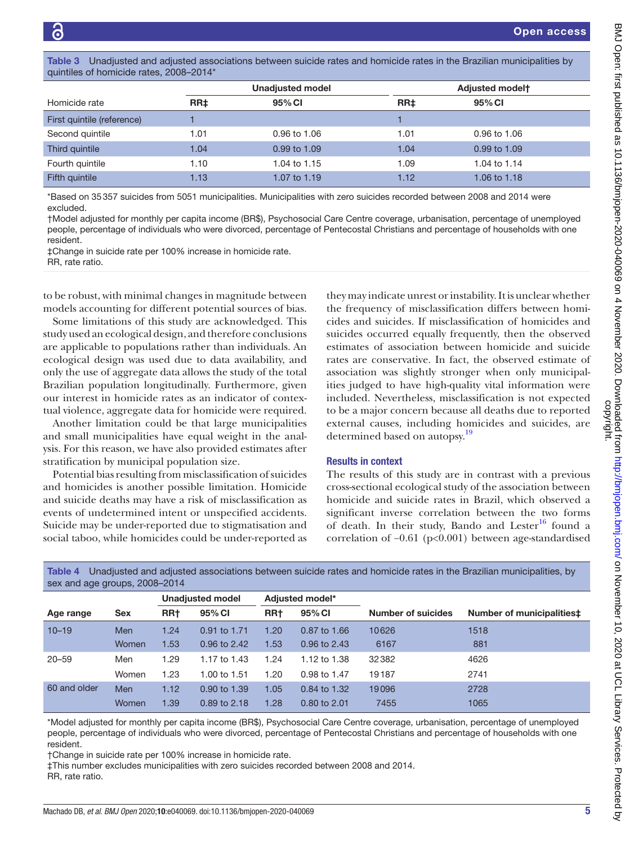<span id="page-4-0"></span>Table 3 Unadjusted and adjusted associations between suicide rates and homicide rates in the Brazilian municipalities by quintiles of homicide rates, 2008–2014\*

| Unadjusted model |              |                 | Adjusted model <sup>+</sup> |
|------------------|--------------|-----------------|-----------------------------|
| RR <sub>‡</sub>  | 95% CI       | RR <sub>‡</sub> | 95% CI                      |
|                  |              |                 |                             |
| 1.01             | 0.96 to 1.06 | 1.01            | 0.96 to 1.06                |
| 1.04             | 0.99 to 1.09 | 1.04            | 0.99 to 1.09                |
| 1.10             | 1.04 to 1.15 | 1.09            | 1.04 to 1.14                |
| 1.13             | 1.07 to 1.19 | 1.12            | 1.06 to 1.18                |
|                  |              |                 |                             |

\*Based on 35357 suicides from 5051 municipalities. Municipalities with zero suicides recorded between 2008 and 2014 were excluded.

†Model adjusted for monthly per capita income (BR\$), Psychosocial Care Centre coverage, urbanisation, percentage of unemployed people, percentage of individuals who were divorced, percentage of Pentecostal Christians and percentage of households with one resident.

‡Change in suicide rate per 100% increase in homicide rate.

RR, rate ratio.

to be robust, with minimal changes in magnitude between models accounting for different potential sources of bias.

Some limitations of this study are acknowledged. This study used an ecological design, and therefore conclusions are applicable to populations rather than individuals. An ecological design was used due to data availability, and only the use of aggregate data allows the study of the total Brazilian population longitudinally. Furthermore, given our interest in homicide rates as an indicator of contextual violence, aggregate data for homicide were required.

Another limitation could be that large municipalities and small municipalities have equal weight in the analysis. For this reason, we have also provided estimates after stratification by municipal population size.

Potential bias resulting from misclassification of suicides and homicides is another possible limitation. Homicide and suicide deaths may have a risk of misclassification as events of undetermined intent or unspecified accidents. Suicide may be under-reported due to stigmatisation and social taboo, while homicides could be under-reported as

they may indicate unrest or instability. It is unclear whether the frequency of misclassification differs between homicides and suicides. If misclassification of homicides and suicides occurred equally frequently, then the observed estimates of association between homicide and suicide rates are conservative. In fact, the observed estimate of association was slightly stronger when only municipalities judged to have high-quality vital information were included. Nevertheless, misclassification is not expected to be a major concern because all deaths due to reported external causes, including homicides and suicides, are determined based on autopsy.<sup>19</sup>

# Results in context

The results of this study are in contrast with a previous cross-sectional ecological study of the association between homicide and suicide rates in Brazil, which observed a significant inverse correlation between the two forms of death. In their study, Bando and Lester<sup>16</sup> found a correlation of −0.61 (p<0.001) between age-standardised

| sex and age groups, 2008–2014 |            |                 |                         |                 |              |                           |                           |  |
|-------------------------------|------------|-----------------|-------------------------|-----------------|--------------|---------------------------|---------------------------|--|
|                               |            |                 | <b>Unadjusted model</b> | Adjusted model* |              |                           |                           |  |
| Age range                     | <b>Sex</b> | RR <sup>+</sup> | 95% CI                  | RR <sup>+</sup> | 95% CI       | <b>Number of suicides</b> | Number of municipalities‡ |  |
| $10 - 19$                     | Men        | 1.24            | 0.91 to 1.71            | 1.20            | 0.87 to 1.66 | 10626                     | 1518                      |  |
|                               | Women      | 1.53            | 0.96 to 2.42            | 1.53            | 0.96 to 2.43 | 6167                      | 881                       |  |
| $20 - 59$                     | Men        | .29             | 1.17 to 1.43            | 1.24            | 1.12 to 1.38 | 32382                     | 4626                      |  |
|                               | Women      | 1.23            | 1.00 to 1.51            | 1.20            | 0.98 to 1.47 | 19187                     | 2741                      |  |
| 60 and older                  | Men        | 1.12            | $0.90 \text{ to } 1.39$ | 1.05            | 0.84 to 1.32 | 19096                     | 2728                      |  |
|                               | Women      | 1.39            | 0.89 to 2.18            | 1.28            | 0.80 to 2.01 | 7455                      | 1065                      |  |

<span id="page-4-1"></span>Table 4 Unadjusted and adjusted associations between suicide rates and homicide rates in the Brazilian municipalities, by sex and age groups, 2008–2014

\*Model adjusted for monthly per capita income (BR\$), Psychosocial Care Centre coverage, urbanisation, percentage of unemployed people, percentage of individuals who were divorced, percentage of Pentecostal Christians and percentage of households with one resident.

†Change in suicide rate per 100% increase in homicide rate.

‡This number excludes municipalities with zero suicides recorded between 2008 and 2014.

RR, rate ratio.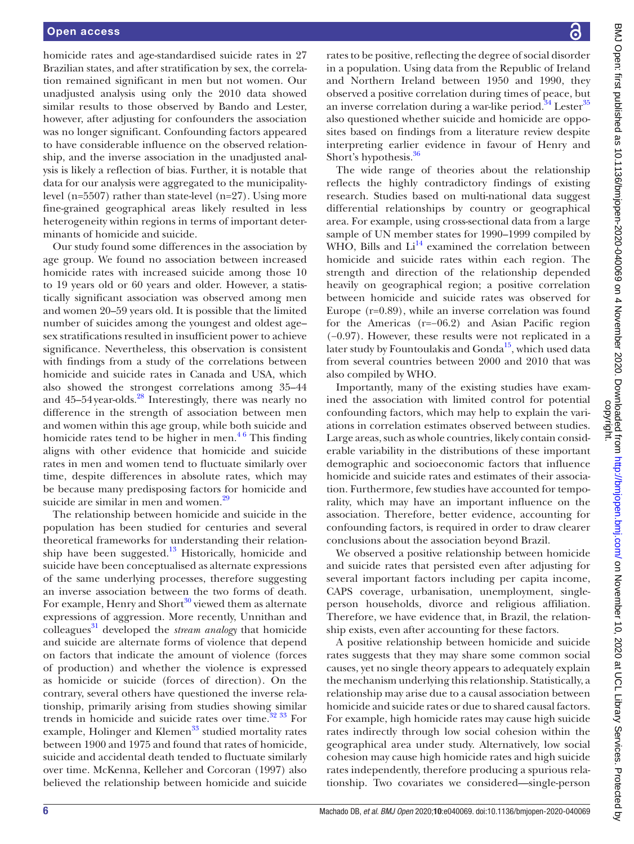homicide rates and age-standardised suicide rates in 27 Brazilian states, and after stratification by sex, the correlation remained significant in men but not women. Our unadjusted analysis using only the 2010 data showed similar results to those observed by Bando and Lester, however, after adjusting for confounders the association was no longer significant. Confounding factors appeared to have considerable influence on the observed relationship, and the inverse association in the unadjusted analysis is likely a reflection of bias. Further, it is notable that data for our analysis were aggregated to the municipalitylevel (n=5507) rather than state-level (n=27). Using more fine-grained geographical areas likely resulted in less heterogeneity within regions in terms of important determinants of homicide and suicide.

Our study found some differences in the association by age group. We found no association between increased homicide rates with increased suicide among those 10 to 19 years old or 60 years and older. However, a statistically significant association was observed among men and women 20–59 years old. It is possible that the limited number of suicides among the youngest and oldest age– sex stratifications resulted in insufficient power to achieve significance. Nevertheless, this observation is consistent with findings from a study of the correlations between homicide and suicide rates in Canada and USA, which also showed the strongest correlations among 35–44 and 45–54 year-olds.<sup>28</sup> Interestingly, there was nearly no difference in the strength of association between men and women within this age group, while both suicide and homicide rates tend to be higher in men. $46$  This finding aligns with other evidence that homicide and suicide rates in men and women tend to fluctuate similarly over time, despite differences in absolute rates, which may be because many predisposing factors for homicide and suicide are similar in men and women.<sup>[29](#page-7-21)</sup>

The relationship between homicide and suicide in the population has been studied for centuries and several theoretical frameworks for understanding their relationship have been suggested.<sup>13</sup> Historically, homicide and suicide have been conceptualised as alternate expressions of the same underlying processes, therefore suggesting an inverse association between the two forms of death. For example, Henry and Short $30$  viewed them as alternate expressions of aggression. More recently, Unnithan and colleagues[31](#page-7-23) developed the *stream analogy* that homicide and suicide are alternate forms of violence that depend on factors that indicate the amount of violence (forces of production) and whether the violence is expressed as homicide or suicide (forces of direction). On the contrary, several others have questioned the inverse relationship, primarily arising from studies showing similar trends in homicide and suicide rates over time. $32\frac{33}{12}$  For example, Holinger and Klemen<sup>33</sup> studied mortality rates between 1900 and 1975 and found that rates of homicide, suicide and accidental death tended to fluctuate similarly over time. McKenna, Kelleher and Corcoran (1997) also believed the relationship between homicide and suicide

rates to be positive, reflecting the degree of social disorder in a population. Using data from the Republic of Ireland and Northern Ireland between 1950 and 1990, they observed a positive correlation during times of peace, but an inverse correlation during a war-like period. $34$  Lester $35$ also questioned whether suicide and homicide are opposites based on findings from a literature review despite interpreting earlier evidence in favour of Henry and Short's hypothesis.<sup>[36](#page-7-28)</sup>

The wide range of theories about the relationship reflects the highly contradictory findings of existing research. Studies based on multi-national data suggest differential relationships by country or geographical area. For example, using cross-sectional data from a large sample of UN member states for 1990–1999 compiled by WHO, Bills and  $Li<sup>14</sup>$  examined the correlation between homicide and suicide rates within each region. The strength and direction of the relationship depended heavily on geographical region; a positive correlation between homicide and suicide rates was observed for Europe (r=0.89), while an inverse correlation was found for the Americas (r=−06.2) and Asian Pacific region (−0.97). However, these results were not replicated in a later study by Fountoulakis and  $Gonda<sup>15</sup>$ , which used data from several countries between 2000 and 2010 that was also compiled by WHO.

Importantly, many of the existing studies have examined the association with limited control for potential confounding factors, which may help to explain the variations in correlation estimates observed between studies. Large areas, such as whole countries, likely contain considerable variability in the distributions of these important demographic and socioeconomic factors that influence homicide and suicide rates and estimates of their association. Furthermore, few studies have accounted for temporality, which may have an important influence on the association. Therefore, better evidence, accounting for confounding factors, is required in order to draw clearer conclusions about the association beyond Brazil.

We observed a positive relationship between homicide and suicide rates that persisted even after adjusting for several important factors including per capita income, CAPS coverage, urbanisation, unemployment, singleperson households, divorce and religious affiliation. Therefore, we have evidence that, in Brazil, the relationship exists, even after accounting for these factors.

A positive relationship between homicide and suicide rates suggests that they may share some common social causes, yet no single theory appears to adequately explain the mechanism underlying this relationship. Statistically, a relationship may arise due to a causal association between homicide and suicide rates or due to shared causal factors. For example, high homicide rates may cause high suicide rates indirectly through low social cohesion within the geographical area under study. Alternatively, low social cohesion may cause high homicide rates and high suicide rates independently, therefore producing a spurious relationship. Two covariates we considered—single-person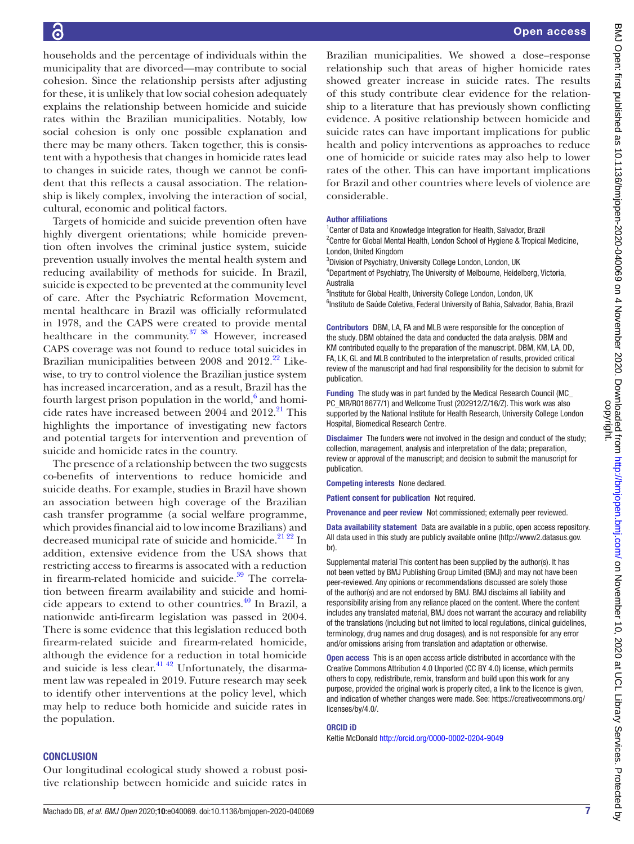households and the percentage of individuals within the municipality that are divorced—may contribute to social cohesion. Since the relationship persists after adjusting for these, it is unlikely that low social cohesion adequately explains the relationship between homicide and suicide rates within the Brazilian municipalities. Notably, low social cohesion is only one possible explanation and there may be many others. Taken together, this is consistent with a hypothesis that changes in homicide rates lead to changes in suicide rates, though we cannot be confident that this reflects a causal association. The relationship is likely complex, involving the interaction of social, cultural, economic and political factors.

Targets of homicide and suicide prevention often have highly divergent orientations; while homicide prevention often involves the criminal justice system, suicide prevention usually involves the mental health system and reducing availability of methods for suicide. In Brazil, suicide is expected to be prevented at the community level of care. After the Psychiatric Reformation Movement, mental healthcare in Brazil was officially reformulated in 1978, and the CAPS were created to provide mental healthcare in the community.<sup>37</sup> <sup>38</sup> However, increased CAPS coverage was not found to reduce total suicides in Brazilian municipalities between 2008 and  $2012.^{22}$  $2012.^{22}$  $2012.^{22}$  Likewise, to try to control violence the Brazilian justice system has increased incarceration, and as a result, Brazil has the fourth largest prison population in the world, $^6$  $^6$  and homi-cide rates have increased between 2004 and 2012.<sup>[21](#page-7-32)</sup> This highlights the importance of investigating new factors and potential targets for intervention and prevention of suicide and homicide rates in the country.

The presence of a relationship between the two suggests co-benefits of interventions to reduce homicide and suicide deaths. For example, studies in Brazil have shown an association between high coverage of the Brazilian cash transfer programme (a social welfare programme, which provides financial aid to low income Brazilians) and decreased municipal rate of suicide and homicide.<sup>[21 22](#page-7-32)</sup> In addition, extensive evidence from the USA shows that restricting access to firearms is assocated with a reduction in firearm-related homicide and suicide.<sup>39</sup> The correlation between firearm availability and suicide and homicide appears to extend to other countries. $^{40}$  In Brazil, a nationwide anti-firearm legislation was passed in 2004. There is some evidence that this legislation reduced both firearm-related suicide and firearm-related homicide, although the evidence for a reduction in total homicide and suicide is less clear. $4142$  Unfortunately, the disarmament law was repealed in 2019. Future research may seek to identify other interventions at the policy level, which may help to reduce both homicide and suicide rates in the population.

### **CONCLUSION**

Our longitudinal ecological study showed a robust positive relationship between homicide and suicide rates in Brazilian municipalities. We showed a dose–response relationship such that areas of higher homicide rates showed greater increase in suicide rates. The results of this study contribute clear evidence for the relationship to a literature that has previously shown conflicting evidence. A positive relationship between homicide and suicide rates can have important implications for public health and policy interventions as approaches to reduce one of homicide or suicide rates may also help to lower rates of the other. This can have important implications for Brazil and other countries where levels of violence are considerable.

#### Author affiliations

<sup>1</sup> Center of Data and Knowledge Integration for Health, Salvador, Brazil <sup>2</sup> Centre for Global Mental Health, London School of Hygiene & Tropical Medicine, London, United Kingdom

<sup>3</sup>Division of Psychiatry, University College London, London, UK

4 Department of Psychiatry, The University of Melbourne, Heidelberg, Victoria, Australia

<sup>5</sup>Institute for Global Health, University College London, London, UK <sup>6</sup>Instituto de Saúde Coletiva, Federal University of Bahia, Salvador, Bahia, Brazil

Contributors DBM, LA, FA and MLB were responsible for the conception of the study. DBM obtained the data and conducted the data analysis. DBM and KM contributed equally to the preparation of the manuscript. DBM, KM, LA, DD, FA, LK, GL and MLB contributed to the interpretation of results, provided critical review of the manuscript and had final responsibility for the decision to submit for publication.

Funding The study was in part funded by the Medical Research Council (MC\_ PC\_MR/R018677/1) and Wellcome Trust (202912/Z/16/Z). This work was also supported by the National Institute for Health Research, University College London Hospital, Biomedical Research Centre.

Disclaimer The funders were not involved in the design and conduct of the study; collection, management, analysis and interpretation of the data; preparation, review or approval of the manuscript; and decision to submit the manuscript for publication.

Competing interests None declared.

Patient consent for publication Not required.

Provenance and peer review Not commissioned; externally peer reviewed.

Data availability statement Data are available in a public, open access repository. All data used in this study are publicly available online [\(http://www2.datasus.gov.](http://www2.datasus.gov.br) [br\)](http://www2.datasus.gov.br).

Supplemental material This content has been supplied by the author(s). It has not been vetted by BMJ Publishing Group Limited (BMJ) and may not have been peer-reviewed. Any opinions or recommendations discussed are solely those of the author(s) and are not endorsed by BMJ. BMJ disclaims all liability and responsibility arising from any reliance placed on the content. Where the content includes any translated material, BMJ does not warrant the accuracy and reliability of the translations (including but not limited to local regulations, clinical guidelines, terminology, drug names and drug dosages), and is not responsible for any error and/or omissions arising from translation and adaptation or otherwise.

Open access This is an open access article distributed in accordance with the Creative Commons Attribution 4.0 Unported (CC BY 4.0) license, which permits others to copy, redistribute, remix, transform and build upon this work for any purpose, provided the original work is properly cited, a link to the licence is given, and indication of whether changes were made. See: [https://creativecommons.org/](https://creativecommons.org/licenses/by/4.0/) [licenses/by/4.0/](https://creativecommons.org/licenses/by/4.0/).

#### ORCID iD

Keltie McDonald <http://orcid.org/0000-0002-0204-9049>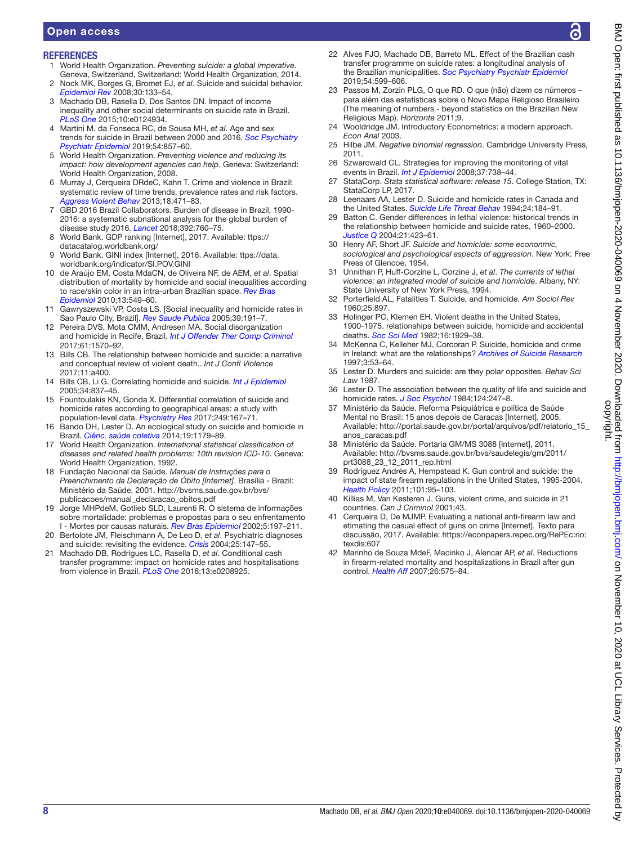# Open access

#### **REFERENCES**

- <span id="page-7-0"></span>1 World Health Organization. *Preventing suicide: a global imperative*. Geneva, Switzerland, Switzerland: World Health Organization, 2014.
- <span id="page-7-1"></span>2 Nock MK, Borges G, Bromet EJ, *et al*. Suicide and suicidal behavior. *[Epidemiol Rev](http://dx.doi.org/10.1093/epirev/mxn002)* 2008;30:133–54.
- <span id="page-7-2"></span>3 Machado DB, Rasella D, Dos Santos DN. Impact of income inequality and other social determinants on suicide rate in Brazil. *[PLoS One](http://dx.doi.org/10.1371/journal.pone.0124934)* 2015;10:e0124934.
- <span id="page-7-3"></span>4 Martini M, da Fonseca RC, de Sousa MH, *et al*. Age and sex trends for suicide in Brazil between 2000 and 2016. *[Soc Psychiatry](http://dx.doi.org/10.1007/s00127-019-01689-8)  [Psychiatr Epidemiol](http://dx.doi.org/10.1007/s00127-019-01689-8)* 2019;54:857–60.
- <span id="page-7-4"></span>5 World Health Organization. *Preventing violence and reducing its impact: how development agencies can help*. Geneva: Switzerland: World Health Organization, 2008.
- <span id="page-7-5"></span>6 Murray J, Cerqueira DRdeC, Kahn T. Crime and violence in Brazil: systematic review of time trends, prevalence rates and risk factors. *[Aggress Violent Behav](http://dx.doi.org/10.1016/j.avb.2013.07.003)* 2013;18:471–83.
- <span id="page-7-6"></span>7 GBD 2016 Brazil Collaborators. Burden of disease in Brazil, 1990- 2016: a systematic subnational analysis for the global burden of disease study 2016. *[Lancet](http://dx.doi.org/10.1016/S0140-6736(18)31221-2)* 2018;392:760–75.
- <span id="page-7-7"></span>8 World Bank. GDP ranking [Internet], 2017. Available: [ttps://](ttps://datacatalog.worldbank.org/) [datacatalog.worldbank.org/](ttps://datacatalog.worldbank.org/)
- 9 World Bank. GINI index [Internet], 2016. Available: [ttps://data.](ttps://data.worldbank.org/indicator/SI.POV.GINI) [worldbank.org/indicator/SI.POV.GINI](ttps://data.worldbank.org/indicator/SI.POV.GINI)
- 10 de Araújo EM, Costa MdaCN, de Oliveira NF, de AEM, *et al*. Spatial distribution of mortality by homicide and social inequalities according to race/skin color in an intra-urban Brazilian space. *[Rev Bras](http://dx.doi.org/10.1590/s1415-790x2010000400001)  [Epidemiol](http://dx.doi.org/10.1590/s1415-790x2010000400001)* 2010;13:549–60.
- 11 Gawryszewski VP, Costa LS. [Social inequality and homicide rates in Sao Paulo City, Brazil]. *[Rev Saude Publica](http://dx.doi.org/10.1590/s0034-89102005000200008)* 2005;39:191–7.
- <span id="page-7-8"></span>12 Pereira DVS, Mota CMM, Andresen MA. Social disorganization and homicide in Recife, Brazil. *[Int J Offender Ther Comp Criminol](http://dx.doi.org/10.1177/0306624X15623282)* 2017;61:1570–92.
- <span id="page-7-9"></span>13 Bills CB. The relationship between homicide and suicide: a narrative and conceptual review of violent death.. *Int J Confl Violence* 2017;11:a400.
- <span id="page-7-10"></span>14 Bills CB, Li G. Correlating homicide and suicide. *[Int J Epidemiol](http://dx.doi.org/10.1093/ije/dyi079)* 2005;34:837–45.
- <span id="page-7-29"></span>15 Fountoulakis KN, Gonda X. Differential correlation of suicide and homicide rates according to geographical areas: a study with population-level data. *[Psychiatry Res](http://dx.doi.org/10.1016/j.psychres.2016.12.059)* 2017;249:167–71.
- <span id="page-7-11"></span>16 Bando DH, Lester D. An ecological study on suicide and homicide in Brazil. *[Ciênc. saúde coletiva](http://dx.doi.org/10.1590/1413-81232014194.00472013)* 2014;19:1179–89.
- <span id="page-7-12"></span>17 World Health Organization. *International statistical classification of diseases and related health problems: 10th revision ICD-10*. Geneva: World Health Organization, 1992.
- <span id="page-7-13"></span>18 Fundação Nacional da Saúde. *Manual de Instruções para o Preenchimento da Declaração de Óbito [Internet]*. Brasília - Brazil: Ministério da Saúde, 2001. [http://bvsms.saude.gov.br/bvs/](http://bvsms.saude.gov.br/bvs/publicacoes/manual_declaracao_obitos.pdf) [publicacoes/manual\\_declaracao\\_obitos.pdf](http://bvsms.saude.gov.br/bvs/publicacoes/manual_declaracao_obitos.pdf)
- <span id="page-7-14"></span>19 Jorge MHPdeM, Gotlieb SLD, Laurenti R. O sistema de informações sobre mortalidade: problemas e propostas para o seu enfrentamento I - Mortes por causas naturais. *[Rev Bras Epidemiol](http://dx.doi.org/10.1590/S1415-790X2002000200007)* 2002;5:197–211.
- 20 Bertolote JM, Fleischmann A, De Leo D, *et al*. Psychiatric diagnoses and suicide: revisiting the evidence. *[Crisis](http://dx.doi.org/10.1027/0227-5910.25.4.147)* 2004;25:147–55.
- <span id="page-7-32"></span>21 Machado DB, Rodrigues LC, Rasella D, *et al*. Conditional cash transfer programme: impact on homicide rates and hospitalisations from violence in Brazil. *[PLoS One](http://dx.doi.org/10.1371/journal.pone.0208925)* 2018;13:e0208925.
- <span id="page-7-31"></span>22 Alves FJO, Machado DB, Barreto ML. Effect of the Brazilian cash transfer programme on suicide rates: a longitudinal analysis of the Brazilian municipalities. *[Soc Psychiatry Psychiatr Epidemiol](http://dx.doi.org/10.1007/s00127-018-1627-6)* 2019;54:599–606.
- <span id="page-7-15"></span>23 Passos M, Zorzin PLG, O que RD. O que (não) dizem os números – para além das estatísticas sobre o Novo Mapa Religioso Brasileiro (The meaning of numbers - beyond statistics on the Brazilian New Religious Map). *Horizonte* 2011;9.
- <span id="page-7-16"></span>24 Wooldridge JM. Introductory Econometrics: a modern approach. *Econ Anal* 2003.
- <span id="page-7-17"></span>25 Hilbe JM. *Negative binomial regression*. Cambridge University Press, 2011.
- <span id="page-7-18"></span>26 Szwarcwald CL. Strategies for improving the monitoring of vital events in Brazil. *[Int J Epidemiol](http://dx.doi.org/10.1093/ije/dyn130)* 2008;37:738–44.
- <span id="page-7-19"></span>27 StataCorp. *Stata statistical software: release 15*. College Station, TX: StataCorp LP, 2017.
- <span id="page-7-20"></span>Leenaars AA, Lester D. Suicide and homicide rates in Canada and the United States. *[Suicide Life Threat Behav](http://www.ncbi.nlm.nih.gov/pubmed/http://www.ncbi.nlm.nih.gov/pubmed/8053012)* 1994;24:184–91.
- <span id="page-7-21"></span>29 Batton C. Gender differences in lethal violence: historical trends in the relationship between homicide and suicide rates, 1960–2000. *[Justice Q](http://dx.doi.org/10.1080/07418820400095861)* 2004;21:423–61.
- <span id="page-7-22"></span>30 Henry AF, Short JF. *Suicide and homicide: some econonmic, sociological and psychological aspects of aggression*. New York: Free Press of Glencoe, 1954.
- <span id="page-7-23"></span>31 Unnithan P, Huff-Corzine L, Corzine J, *et al*. *The currents of lethal violence: an integrated model of suicide and homicide*. Albany, NY: State University of New York Press, 1994.
- <span id="page-7-24"></span>32 Porterfield AL, Fatalities T. Suicide, and homicide. *Am Sociol Rev* 1960;25:897.
- <span id="page-7-25"></span>33 Holinger PC, Klemen EH. Violent deaths in the United States, 1900-1975. relationships between suicide, homicide and accidental deaths. *[Soc Sci Med](http://dx.doi.org/10.1016/0277-9536(82)90392-6)* 1982;16:1929–38.
- <span id="page-7-26"></span>McKenna C, Kelleher MJ, Corcoran P. Suicide, homicide and crime in Ireland: what are the relationships? *[Archives of Suicide Research](http://dx.doi.org/10.1080/13811119708258256)* 1997;3:53–64.
- <span id="page-7-27"></span>35 Lester D. Murders and suicide: are they polar opposites. *Behav Sci Law* 1987.
- <span id="page-7-28"></span>36 Lester D. The association between the quality of life and suicide and homicide rates. *[J Soc Psychol](http://dx.doi.org/10.1080/00224545.1984.9922853)* 1984;124:247–8.
- <span id="page-7-30"></span>37 Ministério da Saúde. Reforma Psiquiátrica e política de Saúde Mental no Brasil: 15 anos depois de Caracas [Internet], 2005. Available: [http://portal.saude.gov.br/portal/arquivos/pdf/relatorio\\_15\\_](http://portal.saude.gov.br/portal/arquivos/pdf/relatorio_15_anos_caracas.pdf) [anos\\_caracas.pdf](http://portal.saude.gov.br/portal/arquivos/pdf/relatorio_15_anos_caracas.pdf)
- 38 Ministério da Saúde. Portaria GM/MS 3088 [Internet], 2011. Available: [http://bvsms.saude.gov.br/bvs/saudelegis/gm/2011/](http://bvsms.saude.gov.br/bvs/saudelegis/gm/2011/prt3088_23_12_2011_rep.html) [prt3088\\_23\\_12\\_2011\\_rep.html](http://bvsms.saude.gov.br/bvs/saudelegis/gm/2011/prt3088_23_12_2011_rep.html)
- <span id="page-7-33"></span>39 Rodríguez Andrés A, Hempstead K. Gun control and suicide: the impact of state firearm regulations in the United States, 1995-2004. *[Health Policy](http://dx.doi.org/10.1016/j.healthpol.2010.10.005)* 2011;101:95–103.
- <span id="page-7-34"></span>40 Killias M, Van Kesteren J. Guns, violent crime, and suicide in 21 countries. *Can J Criminol* 2001;43.
- <span id="page-7-35"></span>41 Cerqueira D, De MJMP. Evaluating a national anti-firearm law and etimating the casual effect of guns on crime [Internet]. Texto para discussão, 2017. Available: [https://econpapers.repec.org/RePEc:rio:](https://econpapers.repec.org/RePEc:rio:texdis:607) [texdis:607](https://econpapers.repec.org/RePEc:rio:texdis:607)
- 42 Marinho de Souza MdeF, Macinko J, Alencar AP, *et al*. Reductions in firearm-related mortality and hospitalizations in Brazil after gun control. *[Health Aff](http://dx.doi.org/10.1377/hlthaff.26.2.575)* 2007;26:575–84.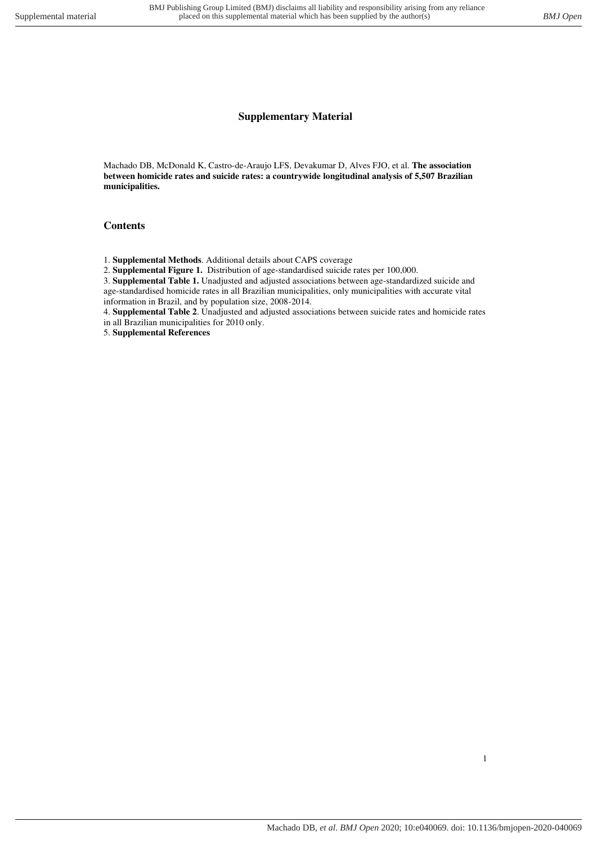# **Supplementary Material**

Machado DB, McDonald K, Castro-de-Araujo LFS, Devakumar D, Alves FJO, et al. **The association between homicide rates and suicide rates: a countrywide longitudinal analysis of 5,507 Brazilian municipalities.** 

# **Contents**

1. **Supplemental Methods**. Additional details about CAPS coverage

2. **Supplemental Figure 1.** Distribution of age-standardised suicide rates per 100,000.

3. **Supplemental Table 1.** Unadjusted and adjusted associations between age-standardized suicide and age-standardised homicide rates in all Brazilian municipalities, only municipalities with accurate vital information in Brazil, and by population size, 2008-2014.

4. **Supplemental Table 2**. Unadjusted and adjusted associations between suicide rates and homicide rates in all Brazilian municipalities for 2010 only.

5. **Supplemental References**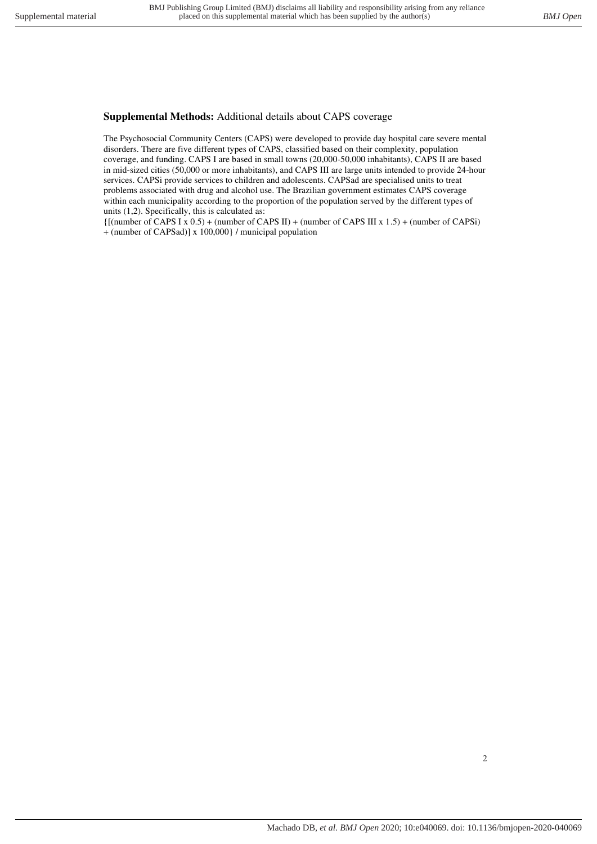# **Supplemental Methods:** Additional details about CAPS coverage

The Psychosocial Community Centers (CAPS) were developed to provide day hospital care severe mental disorders. There are five different types of CAPS, classified based on their complexity, population coverage, and funding. CAPS I are based in small towns (20,000-50,000 inhabitants), CAPS II are based in mid-sized cities (50,000 or more inhabitants), and CAPS III are large units intended to provide 24-hour services. CAPSi provide services to children and adolescents. CAPSad are specialised units to treat problems associated with drug and alcohol use. The Brazilian government estimates CAPS coverage within each municipality according to the proportion of the population served by the different types of units (1,2). Specifically, this is calculated as:

 $\{[(number of CAPS I x 0.5) + (number of CAPS II) + (number of CAPS III x 1.5) + (number of CAPS I) \}$ + (number of CAPSad)] x 100,000} / municipal population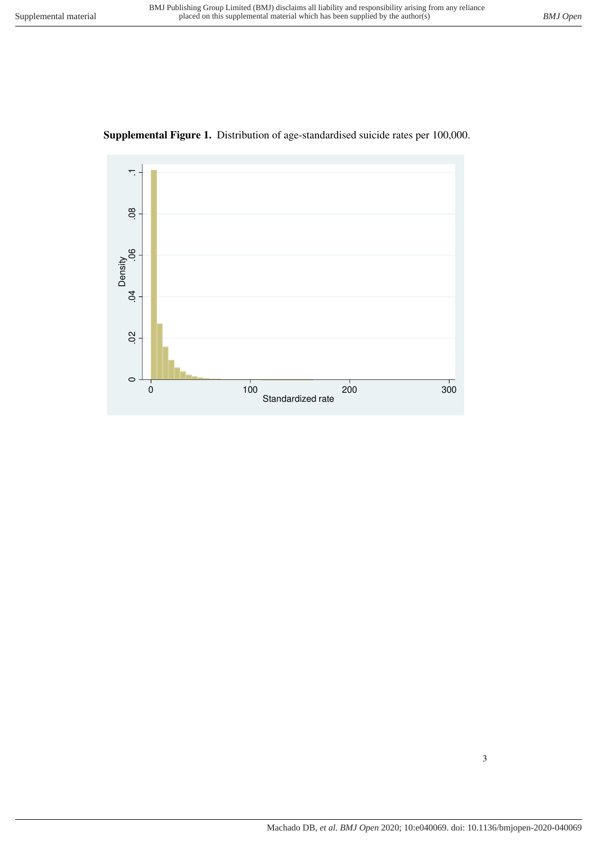

# **Supplemental Figure 1.** Distribution of age-standardised suicide rates per 100,000.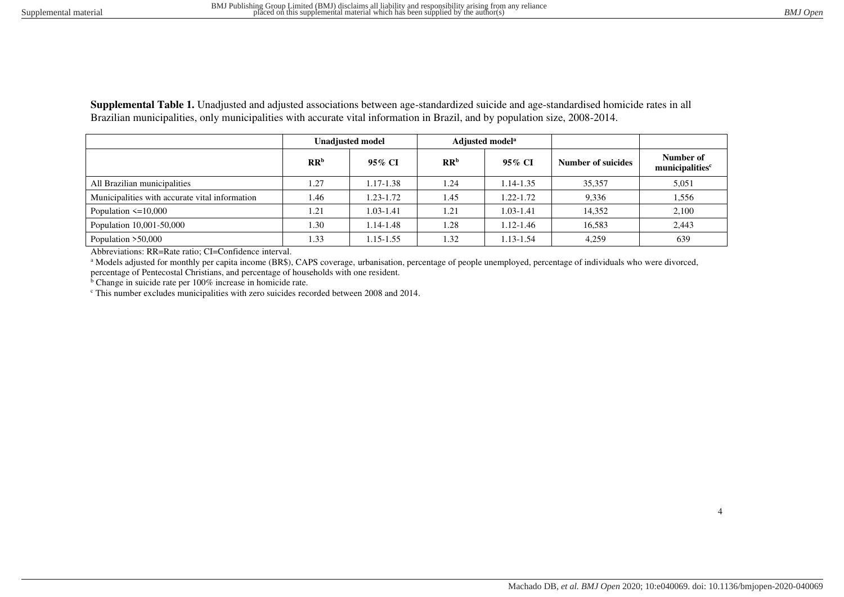**Supplemental Table 1.** Unadjusted and adjusted associations between age-standardized suicide and age-standardised homicide rates in all Brazilian municipalities, only municipalities with accurate vital information in Brazil, and by population size, 2008-2014.

|                                                | <b>Unadjusted model</b>   |               |                           | Adjusted model <sup>a</sup> |                    |                                          |
|------------------------------------------------|---------------------------|---------------|---------------------------|-----------------------------|--------------------|------------------------------------------|
|                                                | $\mathbf{R}^{\mathbf{b}}$ | 95% CI        | $\mathbf{R}^{\mathbf{b}}$ | 95% CI                      | Number of suicides | Number of<br>municipalities <sup>c</sup> |
| All Brazilian municipalities                   | 1.27                      | $1.17 - 1.38$ | 1.24                      | 1.14-1.35                   | 35,357             | 5,051                                    |
| Municipalities with accurate vital information | 1.46                      | $1.23 - 1.72$ | 1.45                      | 1.22-1.72                   | 9,336              | .,556                                    |
| Population $\leq$ 10,000                       | 1.21                      | $1.03 - 1.41$ | 1.21                      | $1.03 - 1.41$               | 14,352             | 2,100                                    |
| Population 10,001-50,000                       | 1.30                      | 1.14-1.48     | 1.28                      | 1.12-1.46                   | 16,583             | 2,443                                    |
| Population > 50,000                            | 1.33                      | 1.15-1.55     | 1.32                      | 1.13-1.54                   | 4.259              | 639                                      |

Abbreviations: RR=Rate ratio; CI=Confidence interval.

<sup>a</sup> Models adjusted for monthly per capita income (BR\$), CAPS coverage, urbanisation, percentage of people unemployed, percentage of individuals who were divorced,

percentage of Pentecostal Christians, and percentage of households with one resident. b Change in suicide rate per 100% increase in homicide rate.

c This number excludes municipalities with zero suicides recorded between 2008 and 2014.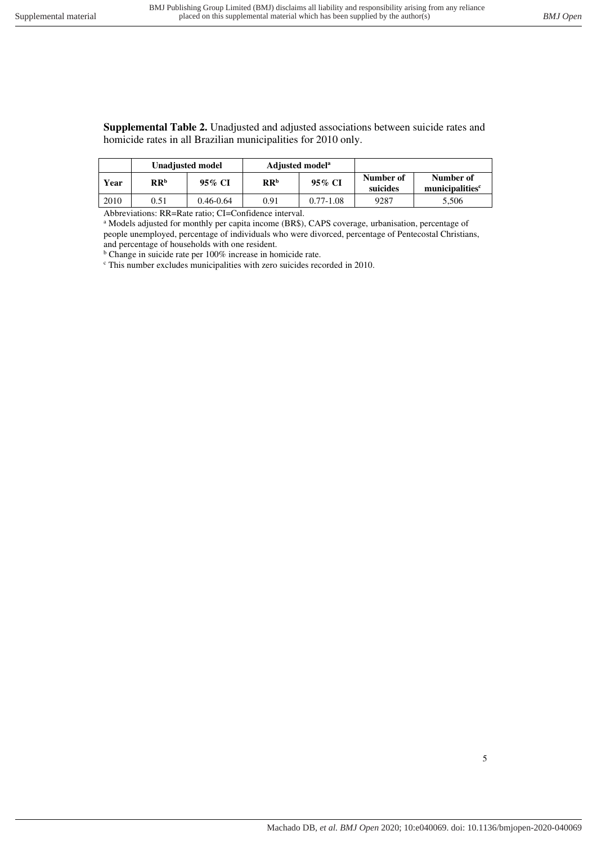**Supplemental Table 2.** Unadjusted and adjusted associations between suicide rates and homicide rates in all Brazilian municipalities for 2010 only.

|      | Unadjusted model          |               |                           | Adjusted model <sup>a</sup> |                       |                                          |
|------|---------------------------|---------------|---------------------------|-----------------------------|-----------------------|------------------------------------------|
| Year | $\mathbf{R}^{\mathbf{b}}$ | 95% CI        | $\mathbf{R}^{\mathbf{b}}$ | 95% CI                      | Number of<br>suicides | Number of<br>municipalities <sup>c</sup> |
| 2010 | 0.51                      | $0.46 - 0.64$ | 0.91                      | $0.77 - 1.08$               | 9287                  | 5.506                                    |

Abbreviations: RR=Rate ratio; CI=Confidence interval.

<sup>a</sup> Models adjusted for monthly per capita income (BR\$), CAPS coverage, urbanisation, percentage of people unemployed, percentage of individuals who were divorced, percentage of Pentecostal Christians, and percentage of households with one resident.

<sup>b</sup> Change in suicide rate per 100% increase in homicide rate.

c This number excludes municipalities with zero suicides recorded in 2010.